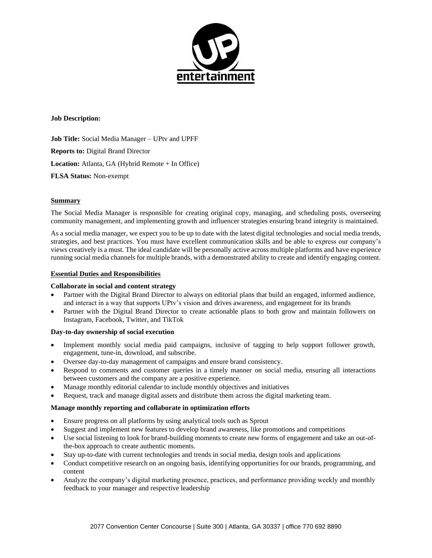

**Job Description:**

**Job Title:** Social Media Manager – UPtv and UPFF **Reports to:** Digital Brand Director **Location:** Atlanta, GA (Hybrid Remote + In Office) **FLSA Status:** Non-exempt

### **Summary**

The Social Media Manager is responsible for creating original copy, managing, and scheduling posts, overseeing community management, and implementing growth and influencer strategies ensuring brand integrity is maintained.

As a social media manager, we expect you to be up to date with the latest digital technologies and social media trends, strategies, and best practices. You must have excellent communication skills and be able to express our company's views creatively is a must. The ideal candidate will be personally active across multiple platforms and have experience running social media channels for multiple brands, with a demonstrated ability to create and identify engaging content.

### **Essential Duties and Responsibilities**

#### **Collaborate in social and content strategy**

- Partner with the Digital Brand Director to always on editorial plans that build an engaged, informed audience, and interact in a way that supports UPtv's vision and drives awareness, and engagement for its brands
- Partner with the Digital Brand Director to create actionable plans to both grow and maintain followers on Instagram, Facebook, Twitter, and TikTok

#### **Day-to-day ownership of social execution**

- Implement monthly social media paid campaigns, inclusive of tagging to help support follower growth, engagement, tune-in, download, and subscribe.
- Oversee day-to-day management of campaigns and ensure brand consistency.
- Respond to comments and customer queries in a timely manner on social media, ensuring all interactions between customers and the company are a positive experience.
- Manage monthly editorial calendar to include monthly objectives and initiatives
- Request, track and manage digital assets and distribute them across the digital marketing team.

#### **Manage monthly reporting and collaborate in optimization efforts**

- Ensure progress on all platforms by using analytical tools such as Sprout
- Suggest and implement new features to develop brand awareness, like promotions and competitions
- Use social listening to look for brand-building moments to create new forms of engagement and take an out-ofthe-box approach to create authentic moments.
- Stay up-to-date with current technologies and trends in social media, design tools and applications
- Conduct competitive research on an ongoing basis, identifying opportunities for our brands, programming, and content
- Analyze the company's digital marketing presence, practices, and performance providing weekly and monthly feedback to your manager and respective leadership